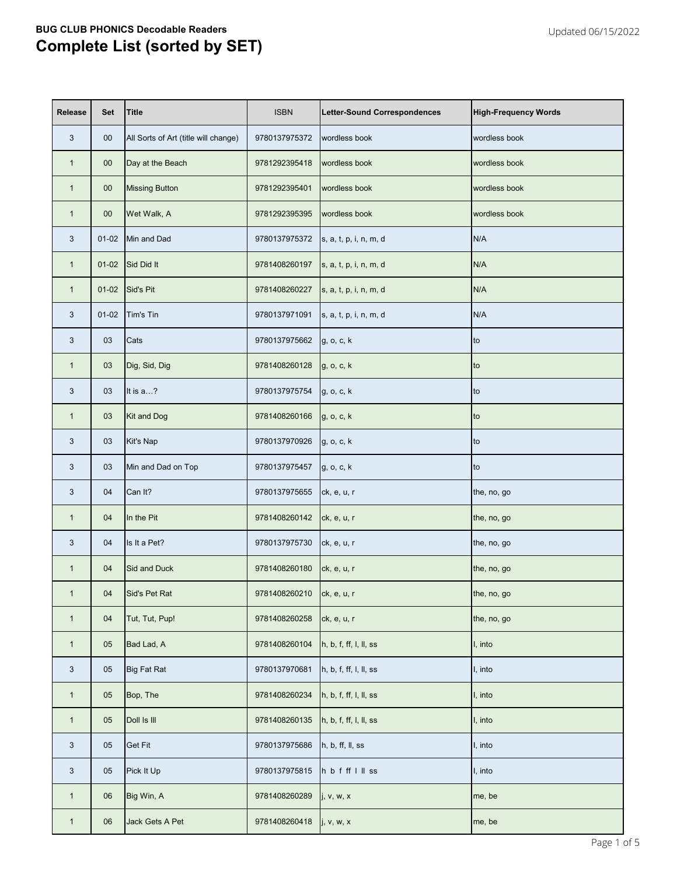| <b>Release</b> | <b>Set</b> | <b>Title</b>                         | <b>ISBN</b>               | Letter-Sound Correspondences | <b>High-Frequency Words</b> |
|----------------|------------|--------------------------------------|---------------------------|------------------------------|-----------------------------|
| 3              | $00\,$     | All Sorts of Art (title will change) | 9780137975372             | wordless book                | wordless book               |
| $\mathbf{1}$   | $00\,$     | Day at the Beach                     | 9781292395418             | wordless book                | wordless book               |
| $\mathbf{1}$   | $00\,$     | <b>Missing Button</b>                | 9781292395401             | wordless book                | wordless book               |
| $\mathbf{1}$   | $00\,$     | Wet Walk, A                          | 9781292395395             | wordless book                | wordless book               |
| 3              | $01 - 02$  | Min and Dad                          | 9780137975372             | s, a, t, p, i, n, m, d       | N/A                         |
| $\mathbf{1}$   | $01-02$    | Sid Did It                           | 9781408260197             | s, a, t, p, i, n, m, d       | N/A                         |
| $\mathbf{1}$   | $01 - 02$  | Sid's Pit                            | 9781408260227             | s, a, t, p, i, n, m, d       | N/A                         |
| 3              | $01 - 02$  | Tim's Tin                            | 9780137971091             | s, a, t, p, i, n, m, d       | N/A                         |
| 3              | 03         | Cats                                 | 9780137975662             | g, o, c, k                   | to                          |
| $\mathbf{1}$   | 03         | Dig, Sid, Dig                        | 9781408260128             | g, o, c, k                   | to                          |
| 3              | 03         | It is a?                             | 9780137975754             | g, o, c, k                   | to                          |
| $\mathbf{1}$   | 03         | Kit and Dog                          | 9781408260166             | g, o, c, k                   | to                          |
| 3              | 03         | Kit's Nap                            | 9780137970926             | g, o, c, k                   | to                          |
| 3              | 03         | Min and Dad on Top                   | 9780137975457             | g, o, c, k                   | to                          |
| 3              | 04         | Can It?                              | 9780137975655 ck, e, u, r |                              | the, no, go                 |
| $\mathbf{1}$   | 04         | In the Pit                           | 9781408260142             | ck, e, u, r                  | the, no, go                 |
| 3              | 04         | Is It a Pet?                         | 9780137975730             | ck, e, u, r                  | the, no, go                 |
| $\mathbf{1}$   | 04         | Sid and Duck                         | 9781408260180             | ck, e, u, r                  | the, no, go                 |
| $\mathbf{1}$   | 04         | Sid's Pet Rat                        | 9781408260210             | ck, e, u, r                  | the, no, go                 |
| $\mathbf{1}$   | 04         | Tut, Tut, Pup!                       | 9781408260258             | ck, e, u, r                  | the, no, go                 |
| $\mathbf{1}$   | 05         | Bad Lad, A                           | 9781408260104             | h, b, f, ff, I, II, ss       | I, into                     |
| 3              | 05         | <b>Big Fat Rat</b>                   | 9780137970681             | h, b, f, ff, l, ll, ss       | I, into                     |
| $\mathbf{1}$   | 05         | Bop, The                             | 9781408260234             | h, b, f, ff, I, II, ss       | I, into                     |
| $\mathbf{1}$   | 05         | Doll Is III                          | 9781408260135             | h, b, f, ff, l, ll, ss       | I, into                     |
| $\mathbf{3}$   | 05         | <b>Get Fit</b>                       | 9780137975686             | h, b, ff, ll, ss             | I, into                     |
| $\mathbf{3}$   | 05         | Pick It Up                           | 9780137975815             | hbfffllss                    | I, into                     |
| $\mathbf{1}$   | 06         | Big Win, A                           | 9781408260289             | j, v, w, x                   | me, be                      |
| $\mathbf{1}$   | 06         | Jack Gets A Pet                      | 9781408260418             | j, v, w, x                   | me, be                      |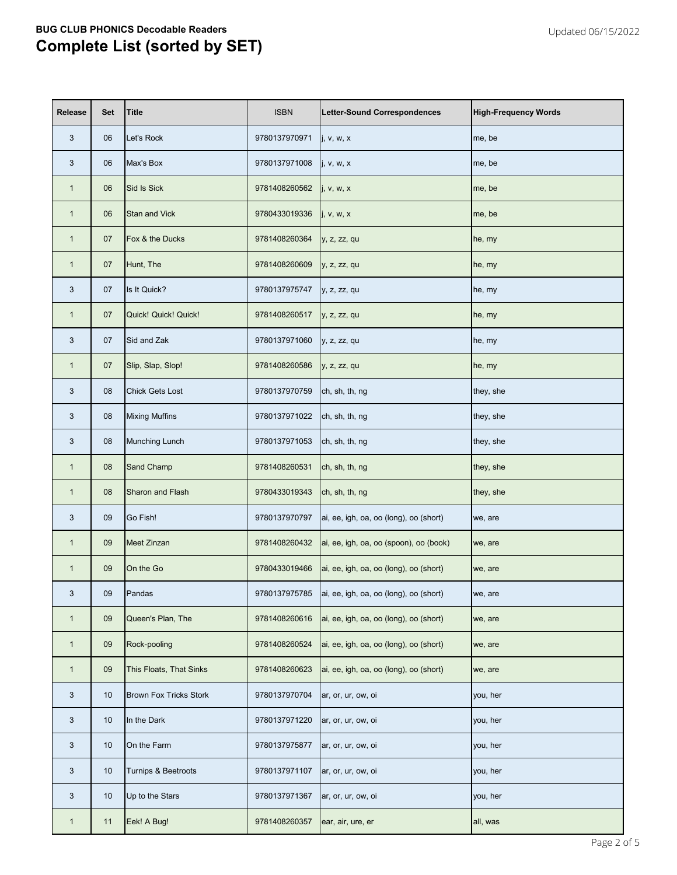| <b>Release</b> | <b>Set</b> | <b>Title</b>                  | <b>ISBN</b>   | <b>Letter-Sound Correspondences</b>    | <b>High-Frequency Words</b> |
|----------------|------------|-------------------------------|---------------|----------------------------------------|-----------------------------|
| 3              | 06         | Let's Rock                    | 9780137970971 | j, v, w, x                             | me, be                      |
| 3              | 06         | Max's Box                     | 9780137971008 | j, v, w, x                             | me, be                      |
| $\mathbf{1}$   | 06         | Sid Is Sick                   | 9781408260562 | j, v, w, x                             | me, be                      |
| $\mathbf{1}$   | 06         | <b>Stan and Vick</b>          | 9780433019336 | j, v, w, x                             | me, be                      |
| $\mathbf{1}$   | 07         | Fox & the Ducks               | 9781408260364 | y, z, zz, qu                           | he, my                      |
| $\mathbf{1}$   | 07         | Hunt, The                     | 9781408260609 | y, z, zz, qu                           | he, my                      |
| 3              | 07         | Is It Quick?                  | 9780137975747 | y, z, zz, qu                           | he, my                      |
| $\mathbf{1}$   | 07         | Quick! Quick! Quick!          | 9781408260517 | y, z, zz, qu                           | he, my                      |
| 3              | 07         | Sid and Zak                   | 9780137971060 | y, z, zz, qu                           | he, my                      |
| $\mathbf{1}$   | 07         | Slip, Slap, Slop!             | 9781408260586 | y, z, zz, qu                           | he, my                      |
| 3              | 08         | <b>Chick Gets Lost</b>        | 9780137970759 | ch, sh, th, ng                         | they, she                   |
| 3              | 08         | <b>Mixing Muffins</b>         | 9780137971022 | ch, sh, th, ng                         | they, she                   |
| 3              | 08         | <b>Munching Lunch</b>         | 9780137971053 | ch, sh, th, ng                         | they, she                   |
| $\mathbf{1}$   | 08         | <b>Sand Champ</b>             | 9781408260531 | ch, sh, th, ng                         | they, she                   |
| 1              | 08         | Sharon and Flash              | 9780433019343 | ch, sh, th, ng                         | they, she                   |
| 3              | 09         | Go Fish!                      | 9780137970797 | ai, ee, igh, oa, oo (long), oo (short) | we, are                     |
| $\mathbf{1}$   | 09         | Meet Zinzan                   | 9781408260432 | ai, ee, igh, oa, oo (spoon), oo (book) | we, are                     |
| $\mathbf{1}$   | 09         | On the Go                     | 9780433019466 | ai, ee, igh, oa, oo (long), oo (short) | we, are                     |
| 3              | 09         | Pandas                        | 9780137975785 | ai, ee, igh, oa, oo (long), oo (short) | we, are                     |
| $\mathbf{1}$   | 09         | Queen's Plan, The             | 9781408260616 | ai, ee, igh, oa, oo (long), oo (short) | we, are                     |
| $\mathbf{1}$   | 09         | Rock-pooling                  | 9781408260524 | ai, ee, igh, oa, oo (long), oo (short) | we, are                     |
| $\mathbf{1}$   | 09         | This Floats, That Sinks       | 9781408260623 | ai, ee, igh, oa, oo (long), oo (short) | we, are                     |
| 3              | 10         | <b>Brown Fox Tricks Stork</b> | 9780137970704 | ar, or, ur, ow, oi                     | you, her                    |
| 3              | 10         | In the Dark                   | 9780137971220 | ar, or, ur, ow, oi                     | you, her                    |
| 3              | 10         | On the Farm                   | 9780137975877 | ar, or, ur, ow, oi                     | you, her                    |
| 3              | 10         | Turnips & Beetroots           | 9780137971107 | ar, or, ur, ow, oi                     | you, her                    |
| 3              | 10         | Up to the Stars               | 9780137971367 | ar, or, ur, ow, oi                     | you, her                    |
| $\mathbf{1}$   | 11         | Eek! A Bug!                   | 9781408260357 | ear, air, ure, er                      | all, was                    |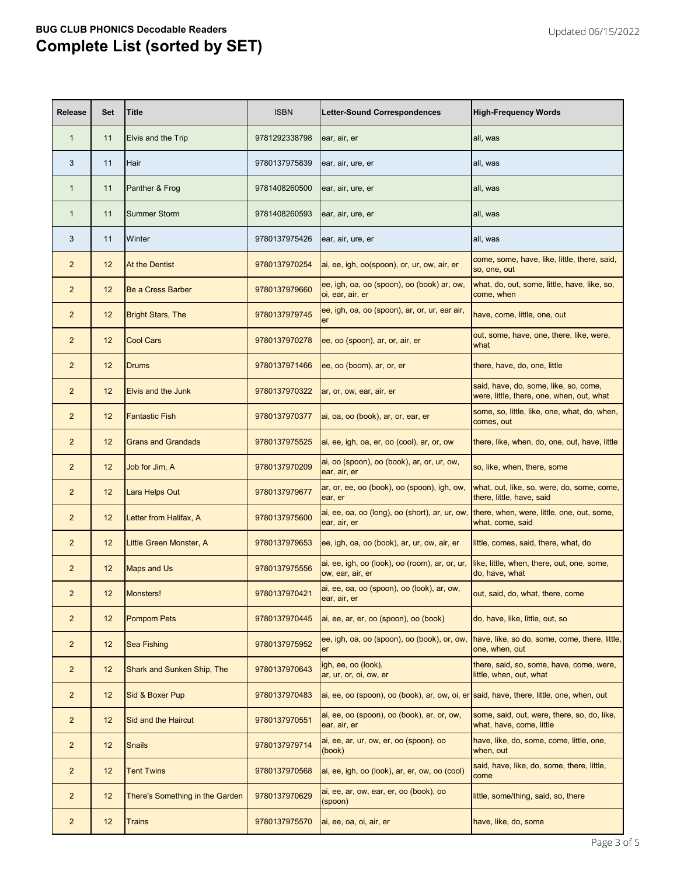| <b>Release</b> | <b>Set</b> | <b>Title</b>                    | <b>ISBN</b>   | <b>Letter-Sound Correspondences</b>                                                     | <b>High-Frequency Words</b>                                                        |
|----------------|------------|---------------------------------|---------------|-----------------------------------------------------------------------------------------|------------------------------------------------------------------------------------|
| $\mathbf{1}$   | 11         | Elvis and the Trip              | 9781292338798 | ear, air, er                                                                            | all, was                                                                           |
| 3              | 11         | Hair                            | 9780137975839 | ear, air, ure, er                                                                       | all, was                                                                           |
| $\mathbf{1}$   | 11         | Panther & Frog                  | 9781408260500 | ear, air, ure, er                                                                       | all, was                                                                           |
| $\mathbf{1}$   | 11         | <b>Summer Storm</b>             | 9781408260593 | ear, air, ure, er                                                                       | all, was                                                                           |
| 3              | 11         | Winter                          | 9780137975426 | ear, air, ure, er                                                                       | all, was                                                                           |
| $\overline{2}$ | 12         | At the Dentist                  | 9780137970254 | ai, ee, igh, oo(spoon), or, ur, ow, air, er                                             | come, some, have, like, little, there, said,<br>so, one, out                       |
| $\overline{2}$ | 12         | <b>Be a Cress Barber</b>        | 9780137979660 | ee, igh, oa, oo (spoon), oo (book) ar, ow,<br>oi, ear, air, er                          | what, do, out, some, little, have, like, so,<br>come, when                         |
| $\overline{2}$ | 12         | <b>Bright Stars, The</b>        | 9780137979745 | ee, igh, oa, oo (spoon), ar, or, ur, ear air,<br>er                                     | have, come, little, one, out                                                       |
| $\overline{2}$ | 12         | <b>Cool Cars</b>                | 9780137970278 | ee, oo (spoon), ar, or, air, er                                                         | out, some, have, one, there, like, were,<br>what                                   |
| $\overline{2}$ | 12         | Drums                           | 9780137971466 | ee, oo (boom), ar, or, er                                                               | there, have, do, one, little                                                       |
| $\overline{2}$ | 12         | <b>Elvis and the Junk</b>       | 9780137970322 | ar, or, ow, ear, air, er                                                                | said, have, do, some, like, so, come,<br>were, little, there, one, when, out, what |
| $\overline{2}$ | 12         | <b>Fantastic Fish</b>           | 9780137970377 | ai, oa, oo (book), ar, or, ear, er                                                      | some, so, little, like, one, what, do, when,<br>comes, out                         |
| $\overline{2}$ | 12         | <b>Grans and Grandads</b>       | 9780137975525 | ai, ee, igh, oa, er, oo (cool), ar, or, ow                                              | there, like, when, do, one, out, have, little                                      |
| $\overline{2}$ | 12         | Job for Jim, A                  | 9780137970209 | ai, oo (spoon), oo (book), ar, or, ur, ow,<br>ear, air, er                              | so, like, when, there, some                                                        |
| $\overline{c}$ | 12         | Lara Helps Out                  | 9780137979677 | ar, or, ee, oo (book), oo (spoon), igh, ow,<br>ear, er                                  | what, out, like, so, were, do, some, come,<br>there, little, have, said            |
| $\overline{2}$ | 12         | Letter from Halifax, A          | 9780137975600 | ai, ee, oa, oo (long), oo (short), ar, ur, ow,<br>ear, air, er                          | there, when, were, little, one, out, some,<br>what, come, said                     |
| $\overline{2}$ | 12         | Little Green Monster, A         | 9780137979653 | ee, igh, oa, oo (book), ar, ur, ow, air, er                                             | little, comes, said, there, what, do                                               |
| $\overline{2}$ | 12         | <b>Maps and Us</b>              | 9780137975556 | ai, ee, igh, oo (look), oo (room), ar, or, ur,<br>ow, ear, air, er                      | like, little, when, there, out, one, some,<br>do, have, what                       |
| $\overline{2}$ | 12         | Monsters!                       | 9780137970421 | ai, ee, oa, oo (spoon), oo (look), ar, ow,<br>ear, air, er                              | out, said, do, what, there, come                                                   |
| $\overline{2}$ | 12         | <b>Pompom Pets</b>              | 9780137970445 | ai, ee, ar, er, oo (spoon), oo (book)                                                   | do, have, like, little, out, so                                                    |
| $\overline{2}$ | 12         | <b>Sea Fishing</b>              | 9780137975952 | ee, igh, oa, oo (spoon), oo (book), or, ow,<br>er                                       | have, like, so do, some, come, there, little,<br>one, when, out                    |
| $\overline{2}$ | 12         | Shark and Sunken Ship, The      | 9780137970643 | igh, ee, oo (look),<br>ar, ur, or, oi, ow, er                                           | there, said, so, some, have, come, were,<br>little, when, out, what                |
| $\overline{2}$ | 12         | Sid & Boxer Pup                 | 9780137970483 | ai, ee, oo (spoon), oo (book), ar, ow, oi, er said, have, there, little, one, when, out |                                                                                    |
| $\overline{2}$ | 12         | Sid and the Haircut             | 9780137970551 | ai, ee, oo (spoon), oo (book), ar, or, ow,<br>ear, air, er                              | some, said, out, were, there, so, do, like,<br>what, have, come, little            |
| $\overline{2}$ | 12         | <b>Snails</b>                   | 9780137979714 | ai, ee, ar, ur, ow, er, oo (spoon), oo<br>(book)                                        | have, like, do, some, come, little, one,<br>when, out                              |
| $\overline{2}$ | 12         | <b>Tent Twins</b>               | 9780137970568 | ai, ee, igh, oo (look), ar, er, ow, oo (cool)                                           | said, have, like, do, some, there, little,<br>come                                 |
| $\overline{2}$ | 12         | There's Something in the Garden | 9780137970629 | ai, ee, ar, ow, ear, er, oo (book), oo<br>(spoon)                                       | little, some/thing, said, so, there                                                |
| $\overline{2}$ | 12         | <b>Trains</b>                   | 9780137975570 | ai, ee, oa, oi, air, er                                                                 | have, like, do, some                                                               |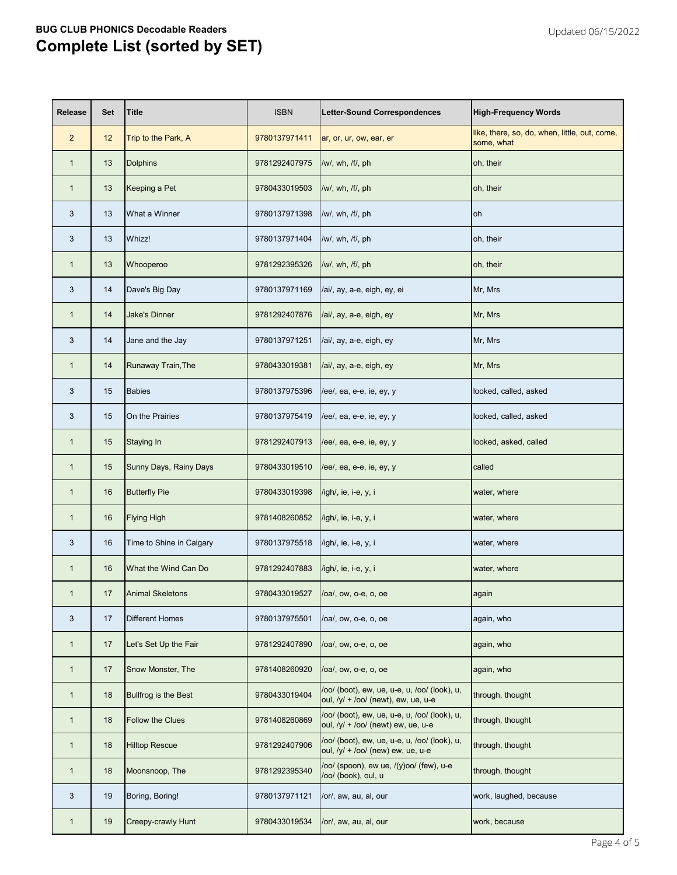| <b>Release</b> | <b>Set</b> | <b>Title</b>                | <b>ISBN</b>   | <b>Letter-Sound Correspondences</b>                                                   | <b>High-Frequency Words</b>                                 |
|----------------|------------|-----------------------------|---------------|---------------------------------------------------------------------------------------|-------------------------------------------------------------|
| $\overline{2}$ | 12         | Trip to the Park, A         | 9780137971411 | ar, or, ur, ow, ear, er                                                               | like, there, so, do, when, little, out, come,<br>some, what |
| $\mathbf{1}$   | 13         | <b>Dolphins</b>             | 9781292407975 | /w/, wh, /f/, ph                                                                      | oh, their                                                   |
| $\mathbf{1}$   | 13         | Keeping a Pet               | 9780433019503 | /w/, wh, /f/, ph                                                                      | oh, their                                                   |
| 3              | 13         | What a Winner               | 9780137971398 | /w/, wh, /f/, ph                                                                      | <b>oh</b>                                                   |
| 3              | 13         | Whizz!                      | 9780137971404 | /w/, wh, /f/, ph                                                                      | oh, their                                                   |
| 1              | 13         | Whooperoo                   | 9781292395326 | /w/, wh, /f/, ph                                                                      | oh, their                                                   |
| 3              | 14         | Dave's Big Day              | 9780137971169 | /ai/, ay, a-e, eigh, ey, ei                                                           | Mr, Mrs                                                     |
| $\mathbf{1}$   | 14         | <b>Jake's Dinner</b>        | 9781292407876 | /ai/, ay, a-e, eigh, ey                                                               | Mr, Mrs                                                     |
| 3              | 14         | Jane and the Jay            | 9780137971251 | /ai/, ay, a-e, eigh, ey                                                               | Mr, Mrs                                                     |
| $\mathbf 1$    | 14         | Runaway Train, The          | 9780433019381 | /ai/, ay, a-e, eigh, ey                                                               | Mr, Mrs                                                     |
| 3              | 15         | <b>Babies</b>               | 9780137975396 | /ee/, ea, e-e, ie, ey, y                                                              | looked, called, asked                                       |
| 3              | 15         | On the Prairies             | 9780137975419 | /ee/, ea, e-e, ie, ey, y                                                              | looked, called, asked                                       |
| $\mathbf{1}$   | 15         | <b>Staying In</b>           | 9781292407913 | /ee/, ea, e-e, ie, ey, y                                                              | looked, asked, called                                       |
| $\mathbf{1}$   | 15         | Sunny Days, Rainy Days      | 9780433019510 | /ee/, ea, e-e, ie, ey, y                                                              | called                                                      |
| 1              | 16         | <b>Butterfly Pie</b>        | 9780433019398 | /igh/, ie, i-e, y, i                                                                  | water, where                                                |
| $\mathbf{1}$   | 16         | <b>Flying High</b>          | 9781408260852 | /igh/, ie, i-e, y, i                                                                  | water, where                                                |
| 3              | 16         | Time to Shine in Calgary    | 9780137975518 | /igh/, ie, i-e, y, i                                                                  | water, where                                                |
| $\mathbf{1}$   | 16         | What the Wind Can Do        | 9781292407883 | /igh/, ie, i-e, y, i                                                                  | water, where                                                |
| $\mathbf{1}$   | 17         | <b>Animal Skeletons</b>     | 9780433019527 | /oa/, ow, o-e, o, oe                                                                  | again                                                       |
| 3              | 17         | <b>Different Homes</b>      | 9780137975501 | /oa/, ow, o-e, o, oe                                                                  | again, who                                                  |
| $\mathbf{1}$   | 17         | Let's Set Up the Fair       | 9781292407890 | /oa/, ow, o-e, o, oe                                                                  | again, who                                                  |
| $\mathbf{1}$   | 17         | Snow Monster, The           | 9781408260920 | /oa/, ow, o-e, o, oe                                                                  | again, who                                                  |
| 1              | 18         | <b>Bullfrog is the Best</b> | 9780433019404 | /oo/ (boot), ew, ue, u-e, u, /oo/ (look), u,<br>oul, $/y/ + /oo/$ (newt), ew, ue, u-e | through, thought                                            |
| 1              | 18         | <b>Follow the Clues</b>     | 9781408260869 | /oo/ (boot), ew, ue, u-e, u, /oo/ (look), u,<br>oul, /y/ + /oo/ (newt) ew, ue, u-e    | through, thought                                            |
| $\mathbf{1}$   | 18         | <b>Hilltop Rescue</b>       | 9781292407906 | /oo/ (boot), ew, ue, u-e, u, /oo/ (look), u,<br>oul, /y/ + /oo/ (new) ew, ue, u-e     | through, thought                                            |
| $\mathbf 1$    | 18         | Moonsnoop, The              | 9781292395340 | /oo/ (spoon), ew ue, /(y)oo/ (few), u-e<br>/oo/ (book), oul, u                        | through, thought                                            |
| 3              | 19         | Boring, Boring!             | 9780137971121 | /or/, aw, au, al, our                                                                 | work, laughed, because                                      |
| 1              | 19         | <b>Creepy-crawly Hunt</b>   | 9780433019534 | /or/, aw, au, al, our                                                                 | work, because                                               |